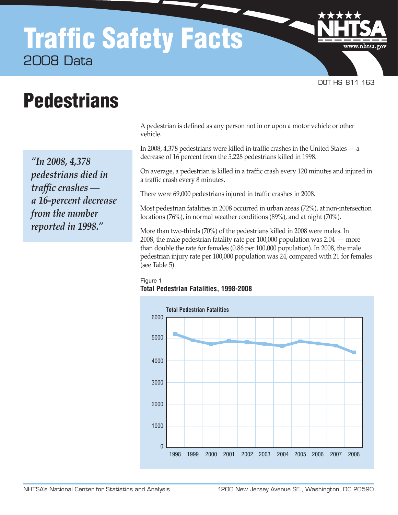## Traffic Safety Facts 2008 Data

DOT HS 811 163

www.nhtsa.go

## **Pedestrians**

*"In 2008, 4,378 pedestrians died in traffic crashes a 16-percent decrease from the number reported in 1998."*

A pedestrian is defined as any person not in or upon a motor vehicle or other vehicle.

In 2008, 4,378 pedestrians were killed in traffic crashes in the United States — a decrease of 16 percent from the 5,228 pedestrians killed in 1998.

On average, a pedestrian is killed in a traffic crash every 120 minutes and injured in a traffic crash every 8 minutes.

There were 69,000 pedestrians injured in traffic crashes in 2008.

Most pedestrian fatalities in 2008 occurred in urban areas (72%), at non-intersection locations (76%), in normal weather conditions (89%), and at night (70%).

More than two-thirds (70%) of the pedestrians killed in 2008 were males. In 2008, the male pedestrian fatality rate per 100,000 population was 2.04 — more than double the rate for females (0.86 per 100,000 population). In 2008, the male pedestrian injury rate per 100,000 population was 24, compared with 21 for females (see Table 5).

## Figure 1 **Total Pedestrian Fatalities, 1998-2008**